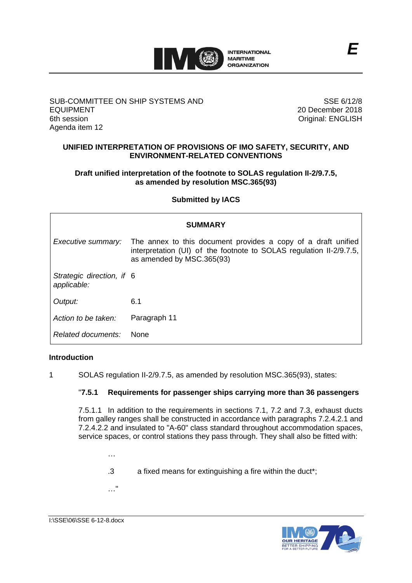

### SUB-COMMITTEE ON SHIP SYSTEMS AND EQUIPMENT 6th session Agenda item 12

SSE 6/12/8 20 December 2018 Original: ENGLISH

## **UNIFIED INTERPRETATION OF PROVISIONS OF IMO SAFETY, SECURITY, AND ENVIRONMENT-RELATED CONVENTIONS**

## **Draft unified interpretation of the footnote to SOLAS regulation II-2/9.7.5, as amended by resolution MSC.365(93)**

## **Submitted by IACS**

| <b>SUMMARY</b>                           |                                                                                                                                                                   |
|------------------------------------------|-------------------------------------------------------------------------------------------------------------------------------------------------------------------|
| Executive summary:                       | The annex to this document provides a copy of a draft unified<br>interpretation (UI) of the footnote to SOLAS regulation II-2/9.7.5,<br>as amended by MSC.365(93) |
| Strategic direction, if 6<br>applicable: |                                                                                                                                                                   |
| Output:                                  | 6.1                                                                                                                                                               |
| Action to be taken:                      | Paragraph 11                                                                                                                                                      |
| Related documents:                       | <b>None</b>                                                                                                                                                       |

## **Introduction**

1 SOLAS regulation II-2/9.7.5, as amended by resolution MSC.365(93), states:

## "**7.5.1 Requirements for passenger ships carrying more than 36 passengers**

7.5.1.1 In addition to the requirements in sections 7.1, 7.2 and 7.3, exhaust ducts from galley ranges shall be constructed in accordance with paragraphs 7.2.4.2.1 and 7.2.4.2.2 and insulated to "A-60" class standard throughout accommodation spaces, service spaces, or control stations they pass through. They shall also be fitted with:

- …
- .3 a fixed means for extinguishing a fire within the duct\*;
- …"

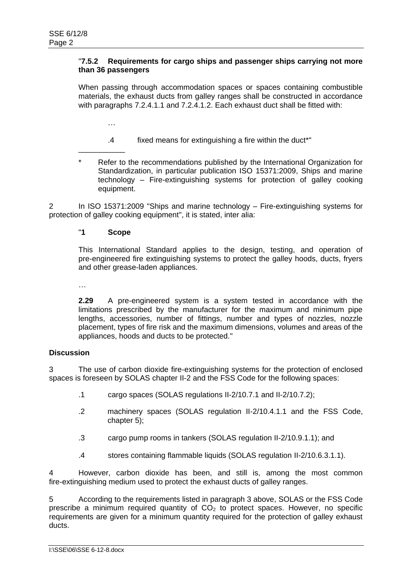### "**7.5.2 Requirements for cargo ships and passenger ships carrying not more than 36 passengers**

When passing through accommodation spaces or spaces containing combustible materials, the exhaust ducts from galley ranges shall be constructed in accordance with paragraphs 7.2.4.1.1 and 7.2.4.1.2. Each exhaust duct shall be fitted with:

…

\_\_\_\_\_\_\_\_\_\_\_

- .4 fixed means for extinguishing a fire within the duct\*"
- Refer to the recommendations published by the International Organization for Standardization, in particular publication ISO 15371:2009, Ships and marine technology – Fire-extinguishing systems for protection of galley cooking equipment.

2 In ISO 15371:2009 "Ships and marine technology – Fire-extinguishing systems for protection of galley cooking equipment", it is stated, inter alia:

# "**1 Scope**

This International Standard applies to the design, testing, and operation of pre-engineered fire extinguishing systems to protect the galley hoods, ducts, fryers and other grease-laden appliances.

…

**2.29** A pre-engineered system is a system tested in accordance with the limitations prescribed by the manufacturer for the maximum and minimum pipe lengths, accessories, number of fittings, number and types of nozzles, nozzle placement, types of fire risk and the maximum dimensions, volumes and areas of the appliances, hoods and ducts to be protected."

## **Discussion**

3 The use of carbon dioxide fire-extinguishing systems for the protection of enclosed spaces is foreseen by SOLAS chapter II-2 and the FSS Code for the following spaces:

- .1 cargo spaces (SOLAS regulations II-2/10.7.1 and II-2/10.7.2);
- .2 machinery spaces (SOLAS regulation II-2/10.4.1.1 and the FSS Code, chapter 5);
- .3 cargo pump rooms in tankers (SOLAS regulation II-2/10.9.1.1); and
- .4 stores containing flammable liquids (SOLAS regulation II-2/10.6.3.1.1).

4 However, carbon dioxide has been, and still is, among the most common fire-extinguishing medium used to protect the exhaust ducts of galley ranges.

5 According to the requirements listed in paragraph 3 above, SOLAS or the FSS Code prescribe a minimum required quantity of  $CO<sub>2</sub>$  to protect spaces. However, no specific requirements are given for a minimum quantity required for the protection of galley exhaust ducts.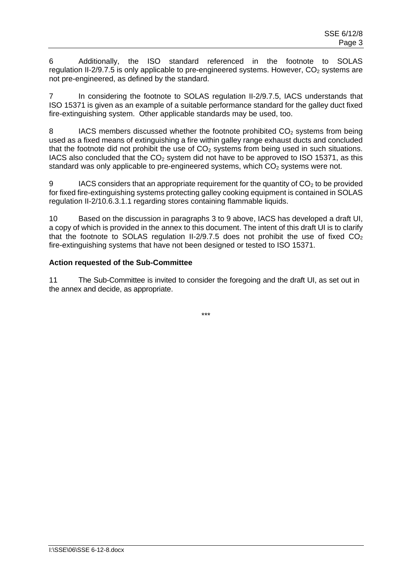6 Additionally, the ISO standard referenced in the footnote to SOLAS regulation II-2/9.7.5 is only applicable to pre-engineered systems. However,  $CO<sub>2</sub>$  systems are not pre-engineered, as defined by the standard.

7 In considering the footnote to SOLAS regulation II-2/9.7.5, IACS understands that ISO 15371 is given as an example of a suitable performance standard for the galley duct fixed fire-extinguishing system. Other applicable standards may be used, too.

8 IACS members discussed whether the footnote prohibited CO<sub>2</sub> systems from being used as a fixed means of extinguishing a fire within galley range exhaust ducts and concluded that the footnote did not prohibit the use of  $CO<sub>2</sub>$  systems from being used in such situations. IACS also concluded that the  $CO<sub>2</sub>$  system did not have to be approved to ISO 15371, as this standard was only applicable to pre-engineered systems, which  $CO<sub>2</sub>$  systems were not.

9 IACS considers that an appropriate requirement for the quantity of  $CO<sub>2</sub>$  to be provided for fixed fire-extinguishing systems protecting galley cooking equipment is contained in SOLAS regulation II-2/10.6.3.1.1 regarding stores containing flammable liquids.

10 Based on the discussion in paragraphs 3 to 9 above, IACS has developed a draft UI, a copy of which is provided in the annex to this document. The intent of this draft UI is to clarify that the footnote to SOLAS regulation II-2/9.7.5 does not prohibit the use of fixed  $CO<sub>2</sub>$ fire-extinguishing systems that have not been designed or tested to ISO 15371.

# **Action requested of the Sub-Committee**

11 The Sub-Committee is invited to consider the foregoing and the draft UI, as set out in the annex and decide, as appropriate.

\*\*\*